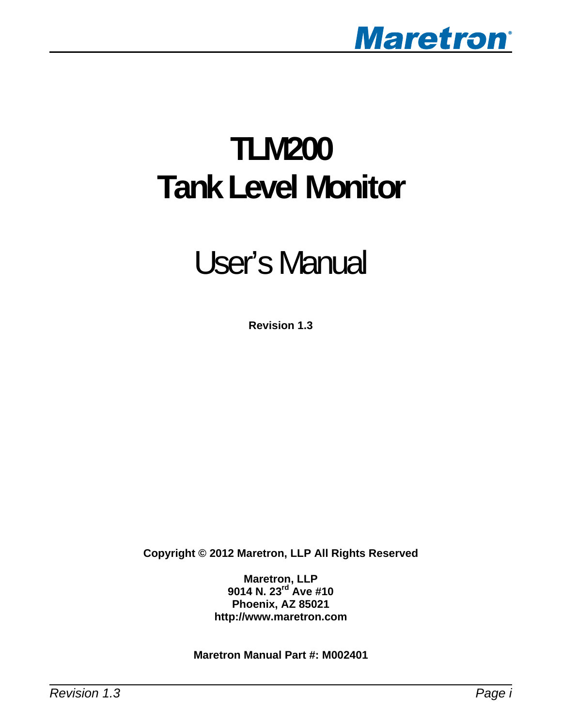

# **TLM200 Tank Level Monitor**

# User's Manual

**Revision 1.3** 

**Copyright © 2012 Maretron, LLP All Rights Reserved** 

**Maretron, LLP 9014 N. 23rd Ave #10 Phoenix, AZ 85021 http://www.maretron.com** 

**Maretron Manual Part #: M002401**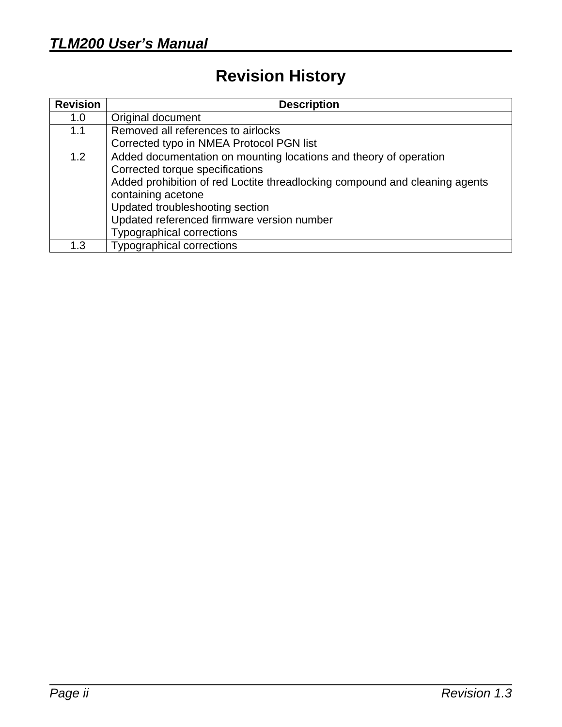# **Revision History**

| <b>Revision</b> | <b>Description</b>                                                                                                                                                                                                                                                                                                             |
|-----------------|--------------------------------------------------------------------------------------------------------------------------------------------------------------------------------------------------------------------------------------------------------------------------------------------------------------------------------|
| 1.0             | Original document                                                                                                                                                                                                                                                                                                              |
| 1.1             | Removed all references to airlocks                                                                                                                                                                                                                                                                                             |
|                 | Corrected typo in NMEA Protocol PGN list                                                                                                                                                                                                                                                                                       |
| 1.2             | Added documentation on mounting locations and theory of operation<br>Corrected torque specifications<br>Added prohibition of red Loctite threadlocking compound and cleaning agents<br>containing acetone<br>Updated troubleshooting section<br>Updated referenced firmware version number<br><b>Typographical corrections</b> |
| 1.3             | <b>Typographical corrections</b>                                                                                                                                                                                                                                                                                               |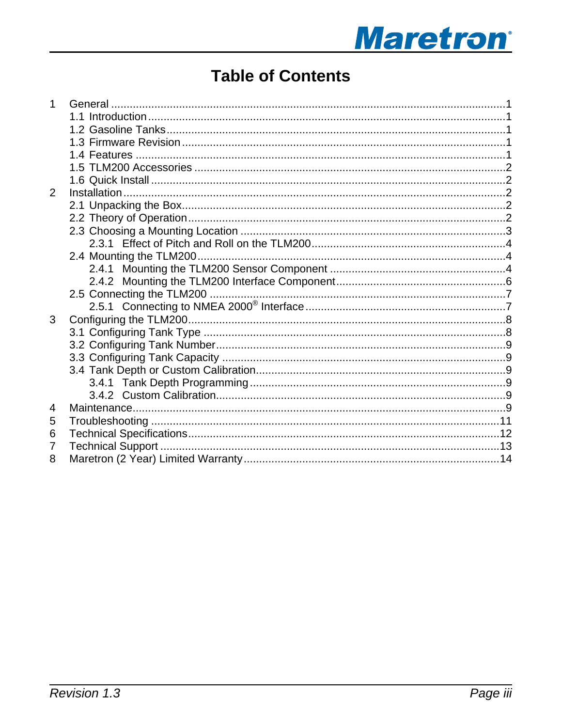# **Maretron**<sup>®</sup>

# **Table of Contents**

| 1              |  |
|----------------|--|
|                |  |
|                |  |
|                |  |
|                |  |
|                |  |
|                |  |
| $\overline{2}$ |  |
|                |  |
|                |  |
|                |  |
|                |  |
|                |  |
|                |  |
|                |  |
|                |  |
|                |  |
| 3              |  |
|                |  |
|                |  |
|                |  |
|                |  |
|                |  |
|                |  |
| 4              |  |
| 5              |  |
| 6              |  |
| 7              |  |
| 8              |  |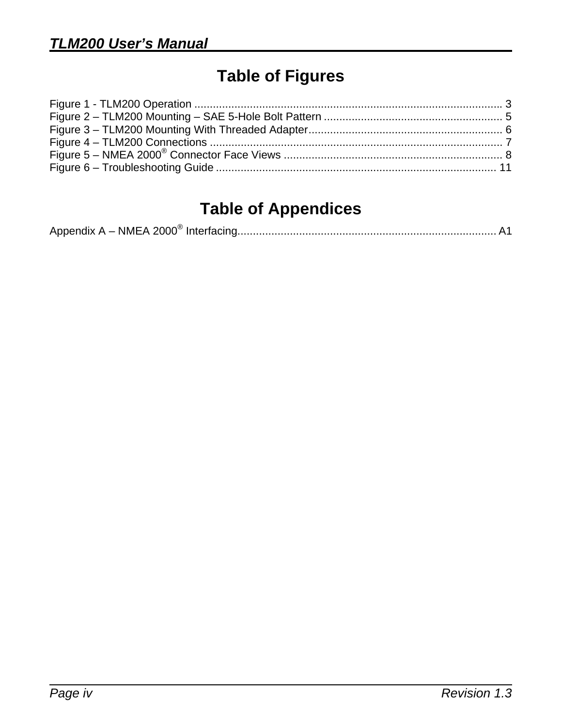# **Table of Figures**

# **Table of Appendices**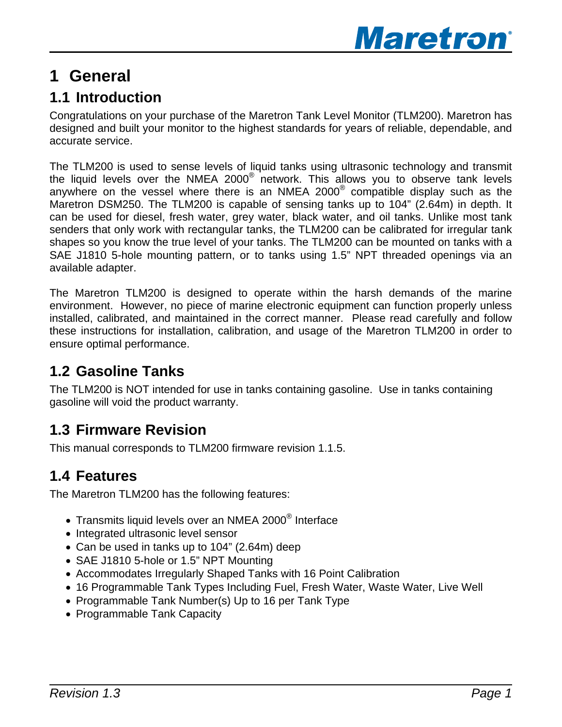

## <span id="page-4-0"></span>**1 General**

## **1.1 Introduction**

Congratulations on your purchase of the Maretron Tank Level Monitor (TLM200). Maretron has designed and built your monitor to the highest standards for years of reliable, dependable, and accurate service.

The TLM200 is used to sense levels of liquid tanks using ultrasonic technology and transmit the liquid levels over the NMEA 2000® network. This allows you to observe tank levels anywhere on the vessel where there is an NMEA 2000® compatible display such as the Maretron DSM250. The TLM200 is capable of sensing tanks up to 104" (2.64m) in depth. It can be used for diesel, fresh water, grey water, black water, and oil tanks. Unlike most tank senders that only work with rectangular tanks, the TLM200 can be calibrated for irregular tank shapes so you know the true level of your tanks. The TLM200 can be mounted on tanks with a SAE J1810 5-hole mounting pattern, or to tanks using 1.5" NPT threaded openings via an available adapter.

The Maretron TLM200 is designed to operate within the harsh demands of the marine environment. However, no piece of marine electronic equipment can function properly unless installed, calibrated, and maintained in the correct manner. Please read carefully and follow these instructions for installation, calibration, and usage of the Maretron TLM200 in order to ensure optimal performance.

## **1.2 Gasoline Tanks**

The TLM200 is NOT intended for use in tanks containing gasoline. Use in tanks containing gasoline will void the product warranty.

## **1.3 Firmware Revision**

This manual corresponds to TLM200 firmware revision 1.1.5.

## **1.4 Features**

The Maretron TLM200 has the following features:

- Transmits liquid levels over an NMEA 2000<sup>®</sup> Interface
- Integrated ultrasonic level sensor
- Can be used in tanks up to 104" (2.64m) deep
- SAE J1810 5-hole or 1.5" NPT Mounting
- Accommodates Irregularly Shaped Tanks with 16 Point Calibration
- 16 Programmable Tank Types Including Fuel, Fresh Water, Waste Water, Live Well
- Programmable Tank Number(s) Up to 16 per Tank Type
- Programmable Tank Capacity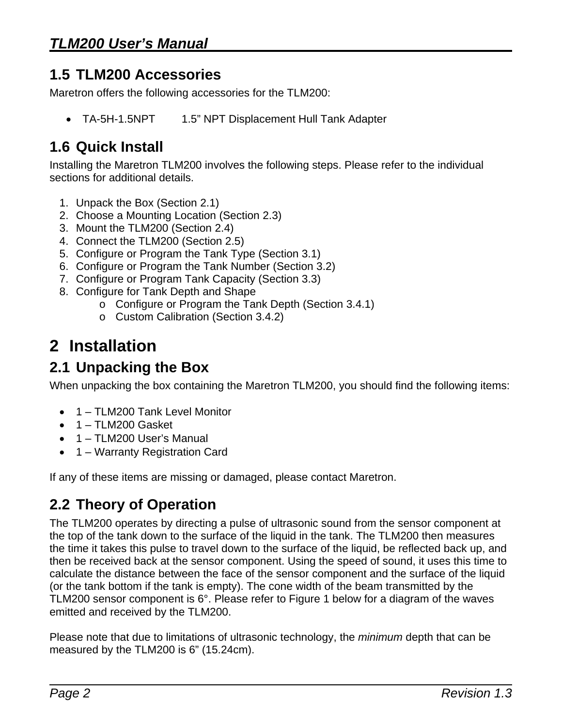## <span id="page-5-0"></span>**1.5 TLM200 Accessories**

Maretron offers the following accessories for the TLM200:

• TA-5H-1.5NPT 1.5" NPT Displacement Hull Tank Adapter

## **1.6 Quick Install**

Installing the Maretron TLM200 involves the following steps. Please refer to the individual sections for additional details.

- 1. Unpack the Box (Section [2.1\)](#page-5-1)
- 2. Choose a Mounting Location (Section [2.3\)](#page-6-1)
- 3. Mount the TLM200 (Section [2.4\)](#page-7-1)
- 4. Connect the TLM200 (Section [2.5](#page-10-1))
- 5. Configure or Program the Tank Type (Section [3.1\)](#page-11-1)
- 6. Configure or Program the Tank Number (Section [3.2\)](#page-12-1)
- 7. Configure or Program Tank Capacity (Section [3.3\)](#page-12-2)
- 8. Configure for Tank Depth and Shape
	- o Configure or Program the Tank Depth (Section [3.4.1](#page-12-3))
	- o Custom Calibration (Section [3.4.2](#page-12-4))

# **2 Installation**

## <span id="page-5-1"></span>**2.1 Unpacking the Box**

When unpacking the box containing the Maretron TLM200, you should find the following items:

- 1 TLM200 Tank Level Monitor
- 1 TLM200 Gasket
- 1 TLM200 User's Manual
- 1 Warranty Registration Card

If any of these items are missing or damaged, please contact Maretron.

## **2.2 Theory of Operation**

The TLM200 operates by directing a pulse of ultrasonic sound from the sensor component at the top of the tank down to the surface of the liquid in the tank. The TLM200 then measures the time it takes this pulse to travel down to the surface of the liquid, be reflected back up, and then be received back at the sensor component. Using the speed of sound, it uses this time to calculate the distance between the face of the sensor component and the surface of the liquid (or the tank bottom if the tank is empty). The cone width of the beam transmitted by the TLM200 sensor component is 6°. Please refer to [Figure 1](#page-6-2) below for a diagram of the waves emitted and received by the TLM200.

Please note that due to limitations of ultrasonic technology, the *minimum* depth that can be measured by the TLM200 is 6" (15.24cm).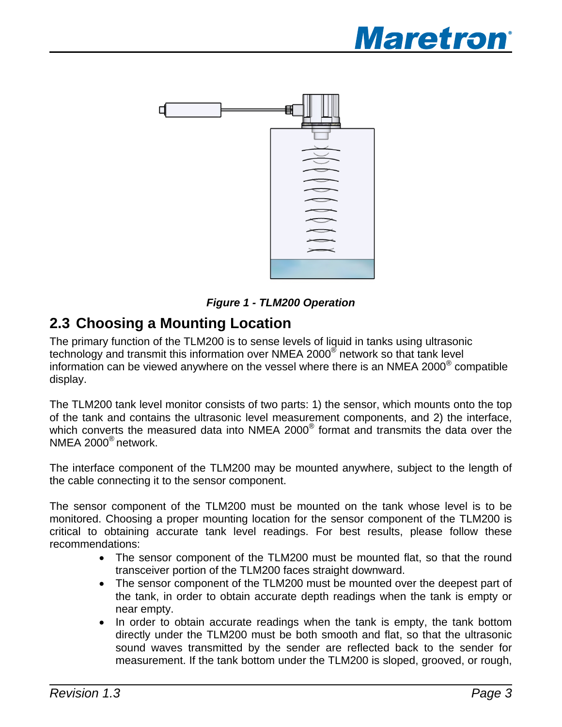

<span id="page-6-0"></span>

*Figure 1 - TLM200 Operation* 

## <span id="page-6-2"></span><span id="page-6-1"></span>**2.3 Choosing a Mounting Location**

The primary function of the TLM200 is to sense levels of liquid in tanks using ultrasonic technology and transmit this information over NMEA 2000<sup>®</sup> network so that tank level information can be viewed anywhere on the vessel where there is an NMEA 2000® compatible display.

The TLM200 tank level monitor consists of two parts: 1) the sensor, which mounts onto the top of the tank and contains the ultrasonic level measurement components, and 2) the interface, which converts the measured data into NMEA 2000<sup>®</sup> format and transmits the data over the NMEA 2000® network.

The interface component of the TLM200 may be mounted anywhere, subject to the length of the cable connecting it to the sensor component.

The sensor component of the TLM200 must be mounted on the tank whose level is to be monitored. Choosing a proper mounting location for the sensor component of the TLM200 is critical to obtaining accurate tank level readings. For best results, please follow these recommendations:

- The sensor component of the TLM200 must be mounted flat, so that the round transceiver portion of the TLM200 faces straight downward.
- The sensor component of the TLM200 must be mounted over the deepest part of the tank, in order to obtain accurate depth readings when the tank is empty or near empty.
- In order to obtain accurate readings when the tank is empty, the tank bottom directly under the TLM200 must be both smooth and flat, so that the ultrasonic sound waves transmitted by the sender are reflected back to the sender for measurement. If the tank bottom under the TLM200 is sloped, grooved, or rough,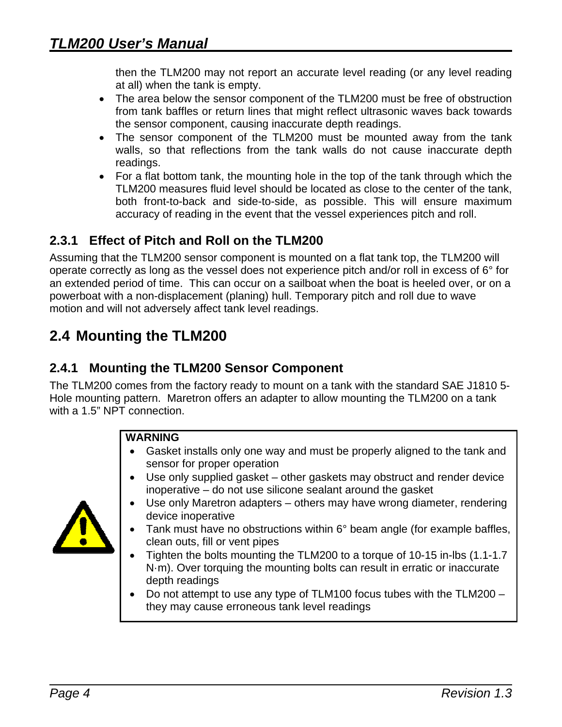<span id="page-7-0"></span>then the TLM200 may not report an accurate level reading (or any level reading at all) when the tank is empty.

- The area below the sensor component of the TLM200 must be free of obstruction from tank baffles or return lines that might reflect ultrasonic waves back towards the sensor component, causing inaccurate depth readings.
- The sensor component of the TLM200 must be mounted away from the tank walls, so that reflections from the tank walls do not cause inaccurate depth readings.
- For a flat bottom tank, the mounting hole in the top of the tank through which the TLM200 measures fluid level should be located as close to the center of the tank, both front-to-back and side-to-side, as possible. This will ensure maximum accuracy of reading in the event that the vessel experiences pitch and roll.

## **2.3.1 Effect of Pitch and Roll on the TLM200**

Assuming that the TLM200 sensor component is mounted on a flat tank top, the TLM200 will operate correctly as long as the vessel does not experience pitch and/or roll in excess of 6° for an extended period of time. This can occur on a sailboat when the boat is heeled over, or on a powerboat with a non-displacement (planing) hull. Temporary pitch and roll due to wave motion and will not adversely affect tank level readings.

## <span id="page-7-1"></span>**2.4 Mounting the TLM200**

## **2.4.1 Mounting the TLM200 Sensor Component**

The TLM200 comes from the factory ready to mount on a tank with the standard SAE J1810 5- Hole mounting pattern. Maretron offers an adapter to allow mounting the TLM200 on a tank with a 1.5" NPT connection.

#### **WARNING**

- Gasket installs only one way and must be properly aligned to the tank and sensor for proper operation
- Use only supplied gasket other gaskets may obstruct and render device inoperative – do not use silicone sealant around the gasket
- Use only Maretron adapters others may have wrong diameter, rendering device inoperative
- Tank must have no obstructions within 6° beam angle (for example baffles, clean outs, fill or vent pipes
- Tighten the bolts mounting the TLM200 to a torque of 10-15 in-lbs (1.1-1.7 N·m). Over torquing the mounting bolts can result in erratic or inaccurate depth readings
- Do not attempt to use any type of TLM100 focus tubes with the TLM200 they may cause erroneous tank level readings

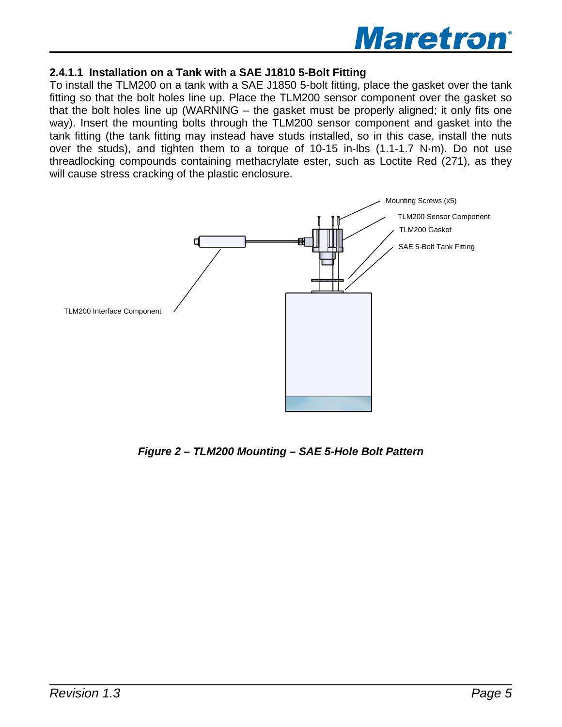

#### **2.4.1.1 Installation on a Tank with a SAE J1810 5-Bolt Fitting**

To install the TLM200 on a tank with a SAE J1850 5-bolt fitting, place the gasket over the tank fitting so that the bolt holes line up. Place the TLM200 sensor component over the gasket so that the bolt holes line up (WARNING – the gasket must be properly aligned; it only fits one way). Insert the mounting bolts through the TLM200 sensor component and gasket into the tank fitting (the tank fitting may instead have studs installed, so in this case, install the nuts over the studs), and tighten them to a torque of 10-15 in-lbs (1.1-1.7 N·m). Do not use threadlocking compounds containing methacrylate ester, such as Loctite Red (271), as they will cause stress cracking of the plastic enclosure.



*Figure 2 – TLM200 Mounting – SAE 5-Hole Bolt Pattern*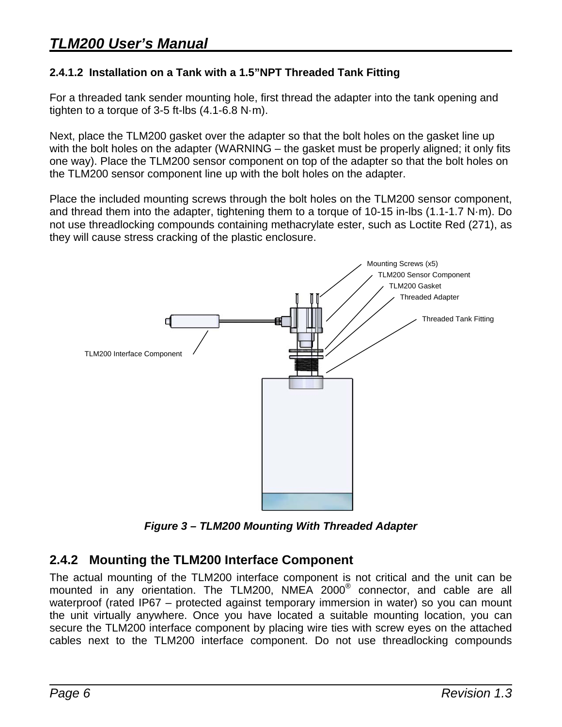#### <span id="page-9-0"></span>**2.4.1.2 Installation on a Tank with a 1.5"NPT Threaded Tank Fitting**

For a threaded tank sender mounting hole, first thread the adapter into the tank opening and tighten to a torque of 3-5 ft-lbs (4.1-6.8 N·m).

Next, place the TLM200 gasket over the adapter so that the bolt holes on the gasket line up with the bolt holes on the adapter (WARNING – the gasket must be properly aligned; it only fits one way). Place the TLM200 sensor component on top of the adapter so that the bolt holes on the TLM200 sensor component line up with the bolt holes on the adapter.

Place the included mounting screws through the bolt holes on the TLM200 sensor component, and thread them into the adapter, tightening them to a torque of 10-15 in-lbs (1.1-1.7 N·m). Do not use threadlocking compounds containing methacrylate ester, such as Loctite Red (271), as they will cause stress cracking of the plastic enclosure.



*Figure 3 – TLM200 Mounting With Threaded Adapter* 

### **2.4.2 Mounting the TLM200 Interface Component**

The actual mounting of the TLM200 interface component is not critical and the unit can be mounted in any orientation. The TLM200, NMEA 2000® connector, and cable are all waterproof (rated IP67 – protected against temporary immersion in water) so you can mount the unit virtually anywhere. Once you have located a suitable mounting location, you can secure the TLM200 interface component by placing wire ties with screw eyes on the attached cables next to the TLM200 interface component. Do not use threadlocking compounds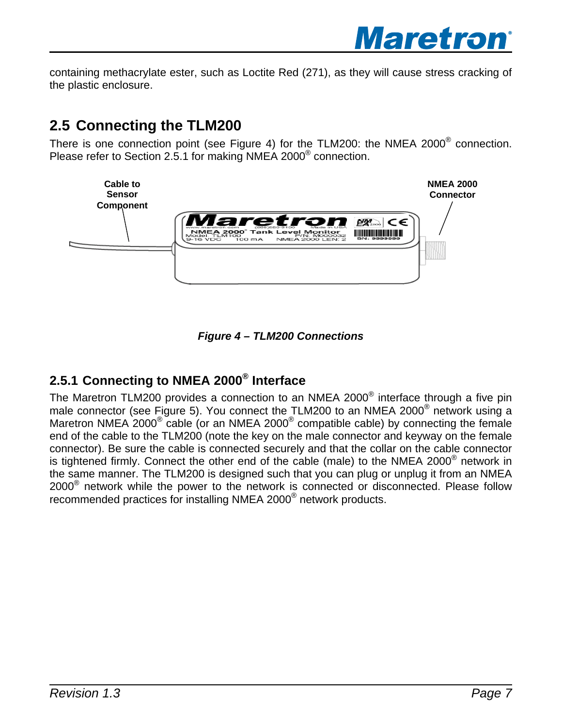

<span id="page-10-0"></span>containing methacrylate ester, such as Loctite Red (271), as they will cause stress cracking of the plastic enclosure.

## <span id="page-10-1"></span>**2.5 Connecting the TLM200**

There is one connection point (see [Figure 4](#page-10-2)) for the TLM200: the NMEA 2000<sup>®</sup> connection. Please refer to Section [2.5.1](#page-10-3) for making NMEA 2000® connection.





## <span id="page-10-3"></span><span id="page-10-2"></span>**2.5.1 Connecting to NMEA 2000® Interface**

The Maretron TLM200 provides a connection to an NMEA 2000<sup>®</sup> interface through a five pin male connector (see [Figure 5](#page-11-2)). You connect the TLM200 to an NMEA 2000 $^{\circ}$  network using a Maretron NMEA 2000 $^{\circ}$  cable (or an NMEA 2000 $^{\circ}$  compatible cable) by connecting the female end of the cable to the TLM200 (note the key on the male connector and keyway on the female connector). Be sure the cable is connected securely and that the collar on the cable connector is tightened firmly. Connect the other end of the cable (male) to the NMEA 2000<sup>®</sup> network in the same manner. The TLM200 is designed such that you can plug or unplug it from an NMEA 2000® network while the power to the network is connected or disconnected. Please follow recommended practices for installing NMEA 2000® network products.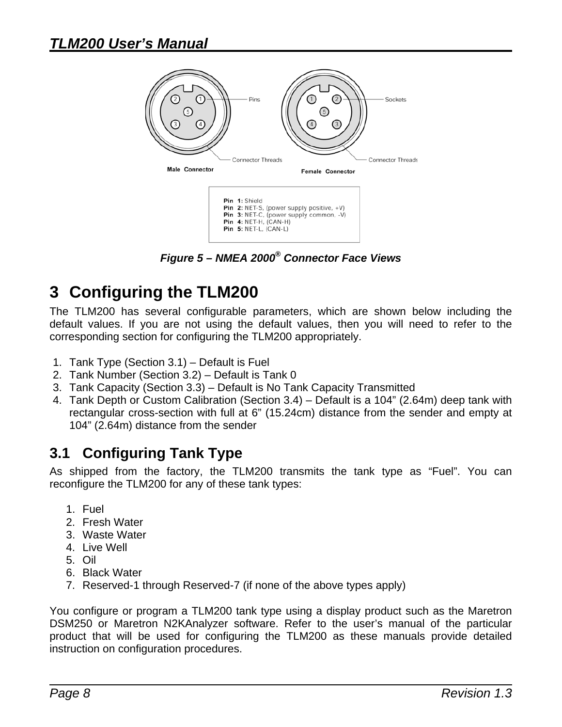<span id="page-11-0"></span>

*Figure 5 – NMEA 2000® Connector Face Views* 

## <span id="page-11-2"></span>**3 Configuring the TLM200**

The TLM200 has several configurable parameters, which are shown below including the default values. If you are not using the default values, then you will need to refer to the corresponding section for configuring the TLM200 appropriately.

- 1. Tank Type (Section [3.1\)](#page-11-1) Default is Fuel
- 2. Tank Number (Section [3.2\)](#page-12-1) Default is Tank 0
- 3. Tank Capacity (Section [3.3\)](#page-12-2) Default is No Tank Capacity Transmitted
- 4. Tank Depth or Custom Calibration (Section [3.4\)](#page-12-5) Default is a 104" (2.64m) deep tank with rectangular cross-section with full at 6" (15.24cm) distance from the sender and empty at 104" (2.64m) distance from the sender

## <span id="page-11-1"></span>**3.1 Configuring Tank Type**

As shipped from the factory, the TLM200 transmits the tank type as "Fuel". You can reconfigure the TLM200 for any of these tank types:

- 1. Fuel
- 2. Fresh Water
- 3. Waste Water
- 4. Live Well
- 5. Oil
- 6. Black Water
- 7. Reserved-1 through Reserved-7 (if none of the above types apply)

You configure or program a TLM200 tank type using a display product such as the Maretron DSM250 or Maretron N2KAnalyzer software. Refer to the user's manual of the particular product that will be used for configuring the TLM200 as these manuals provide detailed instruction on configuration procedures.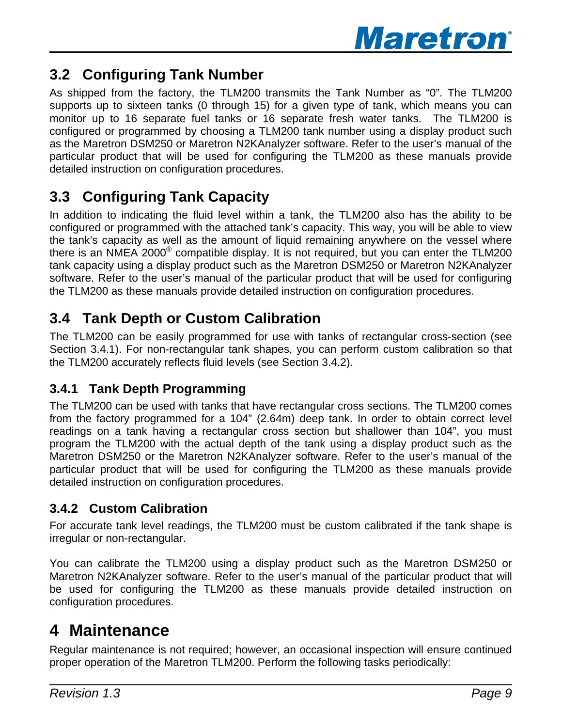

## <span id="page-12-1"></span><span id="page-12-0"></span>**3.2 Configuring Tank Number**

As shipped from the factory, the TLM200 transmits the Tank Number as "0". The TLM200 supports up to sixteen tanks (0 through 15) for a given type of tank, which means you can monitor up to 16 separate fuel tanks or 16 separate fresh water tanks. The TLM200 is configured or programmed by choosing a TLM200 tank number using a display product such as the Maretron DSM250 or Maretron N2KAnalyzer software. Refer to the user's manual of the particular product that will be used for configuring the TLM200 as these manuals provide detailed instruction on configuration procedures.

## <span id="page-12-2"></span>**3.3 Configuring Tank Capacity**

In addition to indicating the fluid level within a tank, the TLM200 also has the ability to be configured or programmed with the attached tank's capacity. This way, you will be able to view the tank's capacity as well as the amount of liquid remaining anywhere on the vessel where there is an NMEA 2000® compatible display. It is not required, but you can enter the TLM200 tank capacity using a display product such as the Maretron DSM250 or Maretron N2KAnalyzer software. Refer to the user's manual of the particular product that will be used for configuring the TLM200 as these manuals provide detailed instruction on configuration procedures.

## <span id="page-12-5"></span>**3.4 Tank Depth or Custom Calibration**

The TLM200 can be easily programmed for use with tanks of rectangular cross-section (see Section [3.4.1](#page-12-3)). For non-rectangular tank shapes, you can perform custom calibration so that the TLM200 accurately reflects fluid levels (see Section [3.4.2\)](#page-12-4).

## <span id="page-12-3"></span>**3.4.1 Tank Depth Programming**

The TLM200 can be used with tanks that have rectangular cross sections. The TLM200 comes from the factory programmed for a 104" (2.64m) deep tank. In order to obtain correct level readings on a tank having a rectangular cross section but shallower than 104", you must program the TLM200 with the actual depth of the tank using a display product such as the Maretron DSM250 or the Maretron N2KAnalyzer software. Refer to the user's manual of the particular product that will be used for configuring the TLM200 as these manuals provide detailed instruction on configuration procedures.

## <span id="page-12-4"></span>**3.4.2 Custom Calibration**

For accurate tank level readings, the TLM200 must be custom calibrated if the tank shape is irregular or non-rectangular.

You can calibrate the TLM200 using a display product such as the Maretron DSM250 or Maretron N2KAnalyzer software. Refer to the user's manual of the particular product that will be used for configuring the TLM200 as these manuals provide detailed instruction on configuration procedures.

## **4 Maintenance**

Regular maintenance is not required; however, an occasional inspection will ensure continued proper operation of the Maretron TLM200. Perform the following tasks periodically: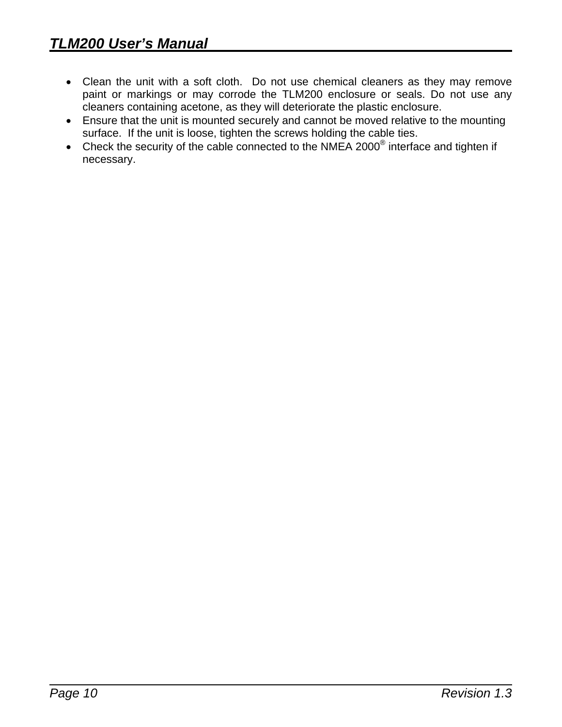- Clean the unit with a soft cloth. Do not use chemical cleaners as they may remove paint or markings or may corrode the TLM200 enclosure or seals. Do not use any cleaners containing acetone, as they will deteriorate the plastic enclosure.
- Ensure that the unit is mounted securely and cannot be moved relative to the mounting surface. If the unit is loose, tighten the screws holding the cable ties.
- Check the security of the cable connected to the NMEA 2000<sup>®</sup> interface and tighten if necessary.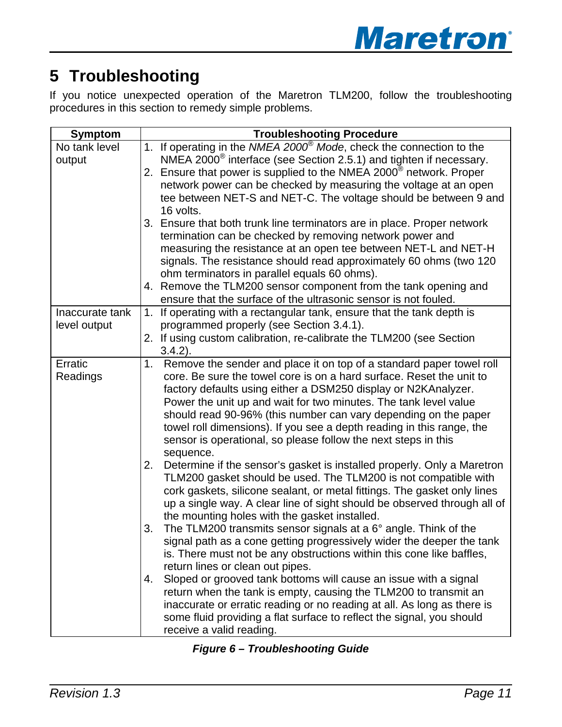# <span id="page-14-0"></span>**5 Troubleshooting**

If you notice unexpected operation of the Maretron TLM200, follow the troubleshooting procedures in this section to remedy simple problems.

| <b>Symptom</b>  |    | <b>Troubleshooting Procedure</b>                                                                                |
|-----------------|----|-----------------------------------------------------------------------------------------------------------------|
| No tank level   |    | 1. If operating in the NMEA 2000 <sup>®</sup> Mode, check the connection to the                                 |
| output          |    | NMEA 2000 $^{\circ}$ interface (see Section 2.5.1) and tighten if necessary.                                    |
|                 |    | 2. Ensure that power is supplied to the NMEA 2000 <sup>®</sup> network. Proper                                  |
|                 |    | network power can be checked by measuring the voltage at an open                                                |
|                 |    | tee between NET-S and NET-C. The voltage should be between 9 and                                                |
|                 |    | 16 volts.                                                                                                       |
|                 |    | 3. Ensure that both trunk line terminators are in place. Proper network                                         |
|                 |    | termination can be checked by removing network power and                                                        |
|                 |    | measuring the resistance at an open tee between NET-L and NET-H                                                 |
|                 |    | signals. The resistance should read approximately 60 ohms (two 120                                              |
|                 |    | ohm terminators in parallel equals 60 ohms).<br>4. Remove the TLM200 sensor component from the tank opening and |
|                 |    | ensure that the surface of the ultrasonic sensor is not fouled.                                                 |
| Inaccurate tank | 1. | If operating with a rectangular tank, ensure that the tank depth is                                             |
| level output    |    | programmed properly (see Section 3.4.1).                                                                        |
|                 |    | 2. If using custom calibration, re-calibrate the TLM200 (see Section                                            |
|                 |    | $3.4.2$ ).                                                                                                      |
| Erratic         | 1. | Remove the sender and place it on top of a standard paper towel roll                                            |
| Readings        |    | core. Be sure the towel core is on a hard surface. Reset the unit to                                            |
|                 |    | factory defaults using either a DSM250 display or N2KAnalyzer.                                                  |
|                 |    | Power the unit up and wait for two minutes. The tank level value                                                |
|                 |    | should read 90-96% (this number can vary depending on the paper                                                 |
|                 |    | towel roll dimensions). If you see a depth reading in this range, the                                           |
|                 |    | sensor is operational, so please follow the next steps in this                                                  |
|                 |    | sequence.                                                                                                       |
|                 | 2. | Determine if the sensor's gasket is installed properly. Only a Maretron                                         |
|                 |    | TLM200 gasket should be used. The TLM200 is not compatible with                                                 |
|                 |    | cork gaskets, silicone sealant, or metal fittings. The gasket only lines                                        |
|                 |    | up a single way. A clear line of sight should be observed through all of                                        |
|                 |    | the mounting holes with the gasket installed.                                                                   |
|                 | 3. | The TLM200 transmits sensor signals at a $6^{\circ}$ angle. Think of the                                        |
|                 |    | signal path as a cone getting progressively wider the deeper the tank                                           |
|                 |    | is. There must not be any obstructions within this cone like baffles,<br>return lines or clean out pipes.       |
|                 | 4. | Sloped or grooved tank bottoms will cause an issue with a signal                                                |
|                 |    | return when the tank is empty, causing the TLM200 to transmit an                                                |
|                 |    | inaccurate or erratic reading or no reading at all. As long as there is                                         |
|                 |    | some fluid providing a flat surface to reflect the signal, you should                                           |
|                 |    | receive a valid reading.                                                                                        |

|  | <b>Figure 6 - Troubleshooting Guide</b> |  |
|--|-----------------------------------------|--|
|--|-----------------------------------------|--|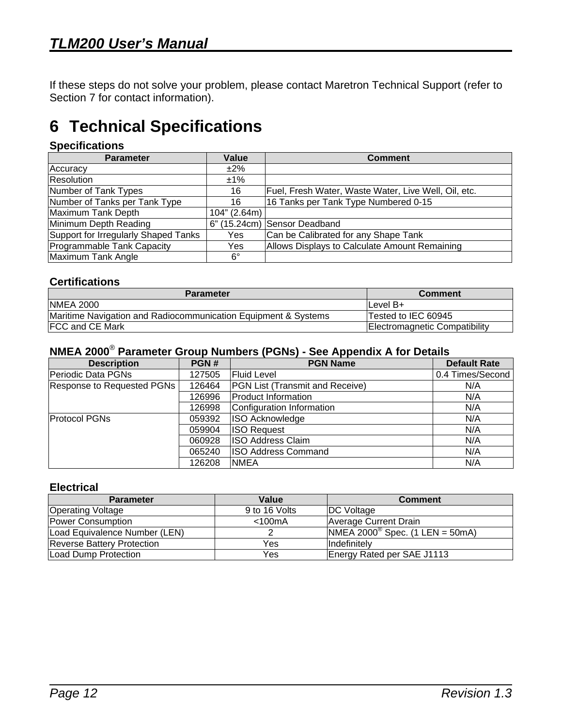<span id="page-15-0"></span>If these steps do not solve your problem, please contact Maretron Technical Support (refer to Section [7](#page-16-1) for contact information).

# **6 Technical Specifications**

#### **Specifications**

| <b>Parameter</b>                     | Value        | <b>Comment</b>                                       |
|--------------------------------------|--------------|------------------------------------------------------|
| Accuracy                             | $±2\%$       |                                                      |
| <b>Resolution</b>                    | $±1\%$       |                                                      |
| Number of Tank Types                 | 16           | Fuel, Fresh Water, Waste Water, Live Well, Oil, etc. |
| Number of Tanks per Tank Type        | 16           | 16 Tanks per Tank Type Numbered 0-15                 |
| Maximum Tank Depth                   | 104" (2.64m) |                                                      |
| Minimum Depth Reading                |              | 6" (15.24cm) Sensor Deadband                         |
| Support for Irregularly Shaped Tanks | Yes          | Can be Calibrated for any Shape Tank                 |
| Programmable Tank Capacity           | Yes          | Allows Displays to Calculate Amount Remaining        |
| Maximum Tank Angle                   | $6^{\circ}$  |                                                      |

#### **Certifications**

| <b>Parameter</b>                                               | <b>Comment</b>                |
|----------------------------------------------------------------|-------------------------------|
| <b>NMEA 2000</b>                                               | ILevel B+                     |
| Maritime Navigation and Radiocommunication Equipment & Systems | Tested to IEC 60945           |
| <b>FCC and CE Mark</b>                                         | Electromagnetic Compatibility |

#### **NMEA 2000**® **Parameter Group Numbers (PGNs) - See Appendix A for Details**

| <b>Description</b>                | PGN#   | <b>PGN Name</b>                        | <b>Default Rate</b> |
|-----------------------------------|--------|----------------------------------------|---------------------|
| Periodic Data PGNs                | 127505 | <b>Fluid Level</b>                     | 0.4 Times/Second    |
| <b>Response to Requested PGNs</b> | 126464 | <b>PGN List (Transmit and Receive)</b> | N/A                 |
|                                   | 126996 | Product Information                    | N/A                 |
|                                   | 126998 | Configuration Information              | N/A                 |
| <b>Protocol PGNs</b>              | 059392 | <b>ISO Acknowledge</b>                 | N/A                 |
|                                   | 059904 | <b>ISO Request</b>                     | N/A                 |
|                                   | 060928 | <b>ISO Address Claim</b>               | N/A                 |
|                                   | 065240 | ISO Address Command                    | N/A                 |
|                                   | 126208 | <b>NMEA</b>                            | N/A                 |

#### **Electrical**

| <b>Parameter</b>                  | Value         | <b>Comment</b>                           |
|-----------------------------------|---------------|------------------------------------------|
| <b>Operating Voltage</b>          | 9 to 16 Volts | <b>DC</b> Voltage                        |
| Power Consumption                 | $<$ 100 $mA$  | Average Current Drain                    |
| Load Equivalence Number (LEN)     |               | $NMEA 2000^{\circ}$ Spec. (1 LEN = 50mA) |
| <b>Reverse Battery Protection</b> | Yes           | <b>Indefinitely</b>                      |
| Load Dump Protection              | Yes           | Energy Rated per SAE J1113               |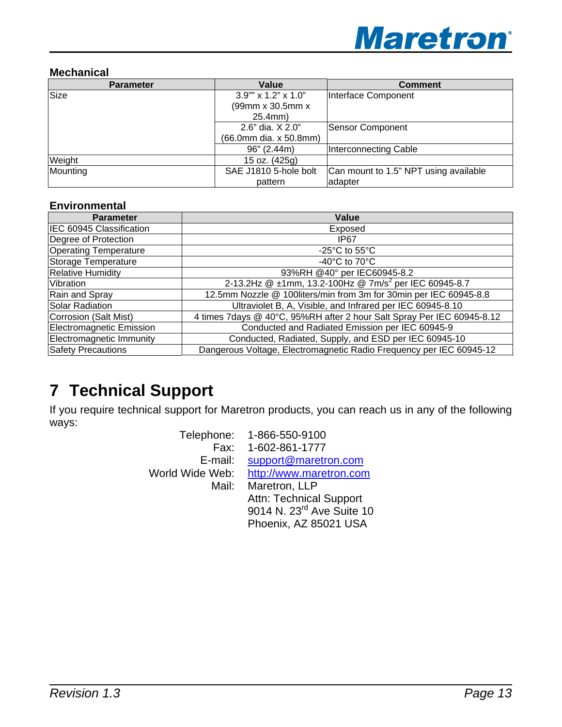

#### <span id="page-16-0"></span>**Mechanical**

| <b>Parameter</b> | Value                  | <b>Comment</b>                        |
|------------------|------------------------|---------------------------------------|
| Size             | 3.9"" x 1.2" x 1.0"    | Interface Component                   |
|                  | (99mm x 30.5mm x       |                                       |
|                  | 25.4mm)                |                                       |
|                  | 2.6" dia. X 2.0"       | <b>Sensor Component</b>               |
|                  | (66.0mm dia. x 50.8mm) |                                       |
|                  | 96" (2.44m)            | Interconnecting Cable                 |
| Weight           | 15 oz. (425g)          |                                       |
| Mounting         | SAE J1810 5-hole bolt  | Can mount to 1.5" NPT using available |
|                  | pattern                | adapter                               |

#### **Environmental**

| <b>Parameter</b>                | Value                                                                  |
|---------------------------------|------------------------------------------------------------------------|
| IEC 60945 Classification        | Exposed                                                                |
| Degree of Protection            | IP <sub>67</sub>                                                       |
| <b>Operating Temperature</b>    | -25 $^{\circ}$ C to 55 $^{\circ}$ C                                    |
| Storage Temperature             | -40 $^{\circ}$ C to 70 $^{\circ}$ C                                    |
| <b>Relative Humidity</b>        | 93%RH @40° per IEC60945-8.2                                            |
| Vibration                       | 2-13.2Hz @ ±1mm, 13.2-100Hz @ 7m/s <sup>2</sup> per IEC 60945-8.7      |
| Rain and Spray                  | 12.5mm Nozzle @ 100liters/min from 3m for 30min per IEC 60945-8.8      |
| Solar Radiation                 | Ultraviolet B, A, Visible, and Infrared per IEC 60945-8.10             |
| Corrosion (Salt Mist)           | 4 times 7days @ 40°C, 95%RH after 2 hour Salt Spray Per IEC 60945-8.12 |
| <b>Electromagnetic Emission</b> | Conducted and Radiated Emission per IEC 60945-9                        |
| <b>Electromagnetic Immunity</b> | Conducted, Radiated, Supply, and ESD per IEC 60945-10                  |
| <b>Safety Precautions</b>       | Dangerous Voltage, Electromagnetic Radio Frequency per IEC 60945-12    |

## <span id="page-16-1"></span>**7 Technical Support**

If you require technical support for Maretron products, you can reach us in any of the following ways:

|                 | Telephone: 1-866-550-9100             |
|-----------------|---------------------------------------|
|                 | Fax: 1-602-861-1777                   |
| E-mail:         | support@maretron.com                  |
| World Wide Web: | http://www.maretron.com               |
| Mail:           | Maretron, LLP                         |
|                 | <b>Attn: Technical Support</b>        |
|                 | 9014 N. 23 <sup>rd</sup> Ave Suite 10 |
|                 | Phoenix, AZ 85021 USA                 |
|                 |                                       |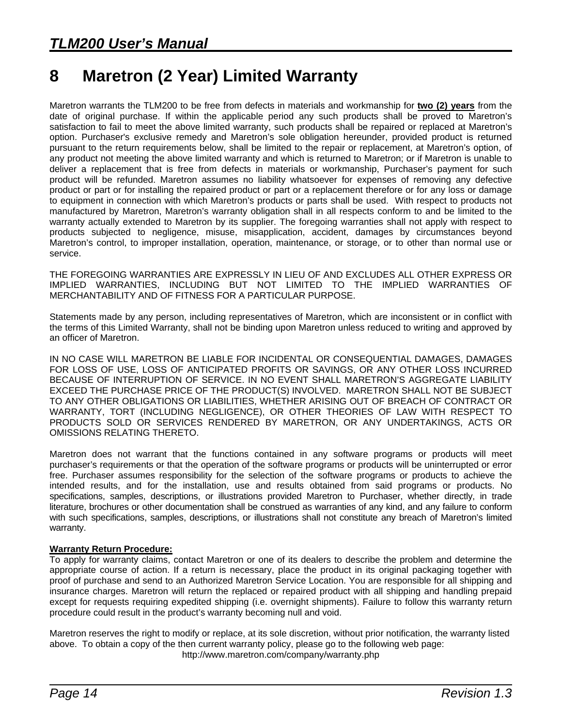## <span id="page-17-0"></span>**8 Maretron (2 Year) Limited Warranty**

Maretron warrants the TLM200 to be free from defects in materials and workmanship for **two (2) years** from the date of original purchase. If within the applicable period any such products shall be proved to Maretron's satisfaction to fail to meet the above limited warranty, such products shall be repaired or replaced at Maretron's option. Purchaser's exclusive remedy and Maretron's sole obligation hereunder, provided product is returned pursuant to the return requirements below, shall be limited to the repair or replacement, at Maretron's option, of any product not meeting the above limited warranty and which is returned to Maretron; or if Maretron is unable to deliver a replacement that is free from defects in materials or workmanship, Purchaser's payment for such product will be refunded. Maretron assumes no liability whatsoever for expenses of removing any defective product or part or for installing the repaired product or part or a replacement therefore or for any loss or damage to equipment in connection with which Maretron's products or parts shall be used. With respect to products not manufactured by Maretron, Maretron's warranty obligation shall in all respects conform to and be limited to the warranty actually extended to Maretron by its supplier. The foregoing warranties shall not apply with respect to products subjected to negligence, misuse, misapplication, accident, damages by circumstances beyond Maretron's control, to improper installation, operation, maintenance, or storage, or to other than normal use or service.

THE FOREGOING WARRANTIES ARE EXPRESSLY IN LIEU OF AND EXCLUDES ALL OTHER EXPRESS OR IMPLIED WARRANTIES, INCLUDING BUT NOT LIMITED TO THE IMPLIED WARRANTIES OF MERCHANTABILITY AND OF FITNESS FOR A PARTICULAR PURPOSE.

Statements made by any person, including representatives of Maretron, which are inconsistent or in conflict with the terms of this Limited Warranty, shall not be binding upon Maretron unless reduced to writing and approved by an officer of Maretron.

IN NO CASE WILL MARETRON BE LIABLE FOR INCIDENTAL OR CONSEQUENTIAL DAMAGES, DAMAGES FOR LOSS OF USE, LOSS OF ANTICIPATED PROFITS OR SAVINGS, OR ANY OTHER LOSS INCURRED BECAUSE OF INTERRUPTION OF SERVICE. IN NO EVENT SHALL MARETRON'S AGGREGATE LIABILITY EXCEED THE PURCHASE PRICE OF THE PRODUCT(S) INVOLVED. MARETRON SHALL NOT BE SUBJECT TO ANY OTHER OBLIGATIONS OR LIABILITIES, WHETHER ARISING OUT OF BREACH OF CONTRACT OR WARRANTY, TORT (INCLUDING NEGLIGENCE), OR OTHER THEORIES OF LAW WITH RESPECT TO PRODUCTS SOLD OR SERVICES RENDERED BY MARETRON, OR ANY UNDERTAKINGS, ACTS OR OMISSIONS RELATING THERETO.

Maretron does not warrant that the functions contained in any software programs or products will meet purchaser's requirements or that the operation of the software programs or products will be uninterrupted or error free. Purchaser assumes responsibility for the selection of the software programs or products to achieve the intended results, and for the installation, use and results obtained from said programs or products. No specifications, samples, descriptions, or illustrations provided Maretron to Purchaser, whether directly, in trade literature, brochures or other documentation shall be construed as warranties of any kind, and any failure to conform with such specifications, samples, descriptions, or illustrations shall not constitute any breach of Maretron's limited warranty.

#### **Warranty Return Procedure:**

To apply for warranty claims, contact Maretron or one of its dealers to describe the problem and determine the appropriate course of action. If a return is necessary, place the product in its original packaging together with proof of purchase and send to an Authorized Maretron Service Location. You are responsible for all shipping and insurance charges. Maretron will return the replaced or repaired product with all shipping and handling prepaid except for requests requiring expedited shipping (i.e. overnight shipments). Failure to follow this warranty return procedure could result in the product's warranty becoming null and void.

Maretron reserves the right to modify or replace, at its sole discretion, without prior notification, the warranty listed above. To obtain a copy of the then current warranty policy, please go to the following web page: http://www.maretron.com/company/warranty.php